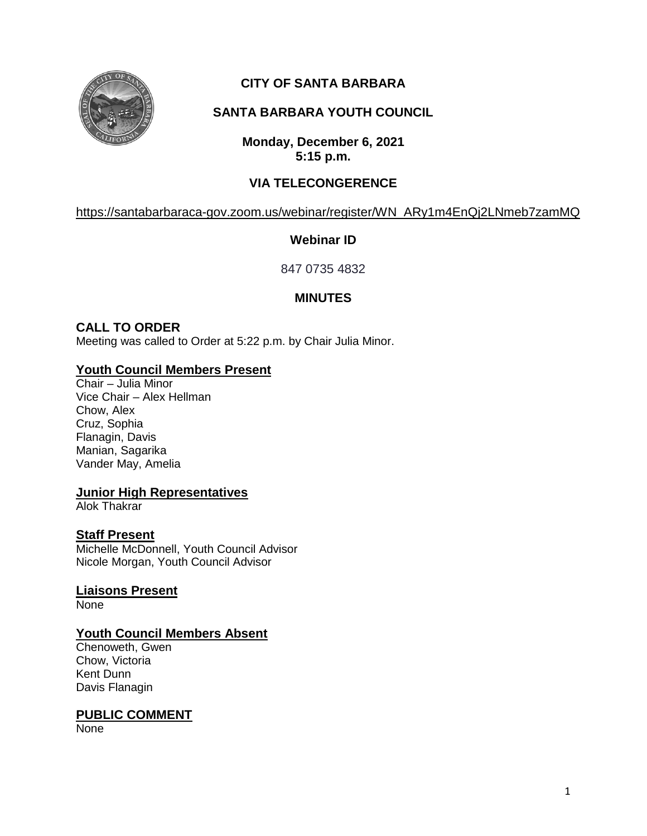

# **CITY OF SANTA BARBARA**

# **SANTA BARBARA YOUTH COUNCIL**

**Monday, December 6, 2021 5:15 p.m.**

# **VIA TELECONGERENCE**

[https://santabarbaraca-gov.zoom.us/webinar/register/WN\\_ARy1m4EnQj2LNmeb7zamMQ](https://santabarbaraca-gov.zoom.us/webinar/register/WN_ARy1m4EnQj2LNmeb7zamMQ)

## **Webinar ID**

847 0735 4832

# **MINUTES**

# **CALL TO ORDER**

Meeting was called to Order at 5:22 p.m. by Chair Julia Minor.

## **Youth Council Members Present**

Chair – Julia Minor Vice Chair – Alex Hellman Chow, Alex Cruz, Sophia Flanagin, Davis Manian, Sagarika Vander May, Amelia

## **Junior High Representatives**

Alok Thakrar

## **Staff Present**

Michelle McDonnell, Youth Council Advisor Nicole Morgan, Youth Council Advisor

**Liaisons Present** None

## **Youth Council Members Absent**

Chenoweth, Gwen Chow, Victoria Kent Dunn Davis Flanagin

#### **PUBLIC COMMENT**

None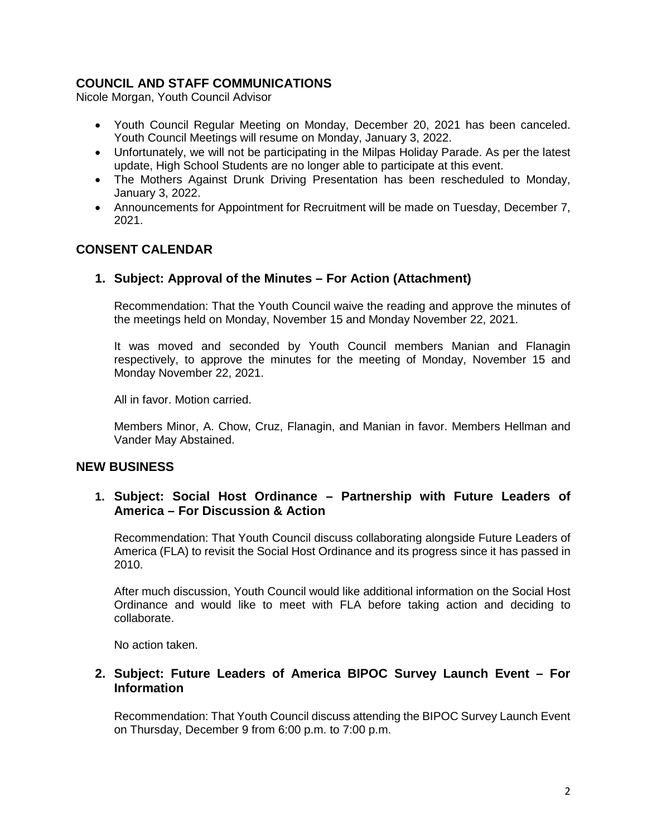## **COUNCIL AND STAFF COMMUNICATIONS**

Nicole Morgan, Youth Council Advisor

- Youth Council Regular Meeting on Monday, December 20, 2021 has been canceled. Youth Council Meetings will resume on Monday, January 3, 2022.
- Unfortunately, we will not be participating in the Milpas Holiday Parade. As per the latest update, High School Students are no longer able to participate at this event.
- The Mothers Against Drunk Driving Presentation has been rescheduled to Monday, January 3, 2022.
- Announcements for Appointment for Recruitment will be made on Tuesday, December 7, 2021.

## **CONSENT CALENDAR**

## **1. Subject: Approval of the Minutes – For Action (Attachment)**

Recommendation: That the Youth Council waive the reading and approve the minutes of the meetings held on Monday, November 15 and Monday November 22, 2021.

It was moved and seconded by Youth Council members Manian and Flanagin respectively, to approve the minutes for the meeting of Monday, November 15 and Monday November 22, 2021.

All in favor. Motion carried.

Members Minor, A. Chow, Cruz, Flanagin, and Manian in favor. Members Hellman and Vander May Abstained.

## **NEW BUSINESS**

## **1. Subject: Social Host Ordinance – Partnership with Future Leaders of America – For Discussion & Action**

Recommendation: That Youth Council discuss collaborating alongside Future Leaders of America (FLA) to revisit the Social Host Ordinance and its progress since it has passed in 2010.

After much discussion, Youth Council would like additional information on the Social Host Ordinance and would like to meet with FLA before taking action and deciding to collaborate.

No action taken.

## **2. Subject: Future Leaders of America BIPOC Survey Launch Event – For Information**

Recommendation: That Youth Council discuss attending the BIPOC Survey Launch Event on Thursday, December 9 from 6:00 p.m. to 7:00 p.m.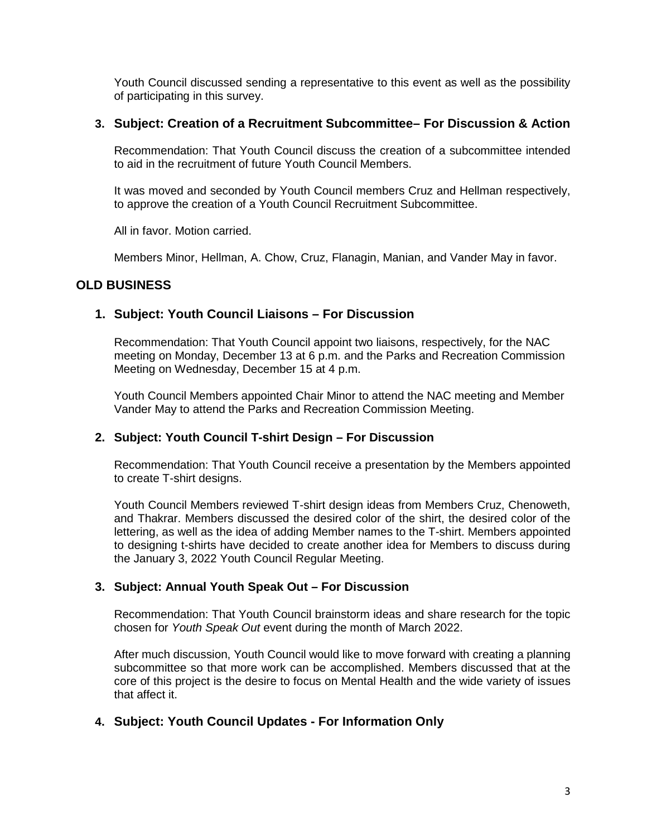Youth Council discussed sending a representative to this event as well as the possibility of participating in this survey.

#### **3. Subject: Creation of a Recruitment Subcommittee– For Discussion & Action**

Recommendation: That Youth Council discuss the creation of a subcommittee intended to aid in the recruitment of future Youth Council Members.

It was moved and seconded by Youth Council members Cruz and Hellman respectively, to approve the creation of a Youth Council Recruitment Subcommittee.

All in favor. Motion carried.

Members Minor, Hellman, A. Chow, Cruz, Flanagin, Manian, and Vander May in favor.

## **OLD BUSINESS**

#### **1. Subject: Youth Council Liaisons – For Discussion**

Recommendation: That Youth Council appoint two liaisons, respectively, for the NAC meeting on Monday, December 13 at 6 p.m. and the Parks and Recreation Commission Meeting on Wednesday, December 15 at 4 p.m.

Youth Council Members appointed Chair Minor to attend the NAC meeting and Member Vander May to attend the Parks and Recreation Commission Meeting.

#### **2. Subject: Youth Council T-shirt Design – For Discussion**

Recommendation: That Youth Council receive a presentation by the Members appointed to create T-shirt designs.

Youth Council Members reviewed T-shirt design ideas from Members Cruz, Chenoweth, and Thakrar. Members discussed the desired color of the shirt, the desired color of the lettering, as well as the idea of adding Member names to the T-shirt. Members appointed to designing t-shirts have decided to create another idea for Members to discuss during the January 3, 2022 Youth Council Regular Meeting.

#### **3. Subject: Annual Youth Speak Out – For Discussion**

Recommendation: That Youth Council brainstorm ideas and share research for the topic chosen for *Youth Speak Out* event during the month of March 2022.

After much discussion, Youth Council would like to move forward with creating a planning subcommittee so that more work can be accomplished. Members discussed that at the core of this project is the desire to focus on Mental Health and the wide variety of issues that affect it.

#### **4. Subject: Youth Council Updates - For Information Only**